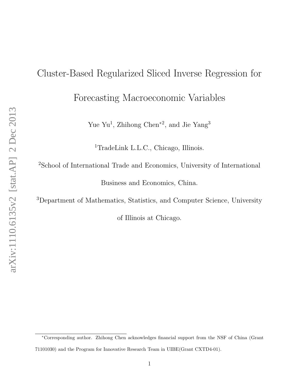# Cluster-Based Regularized Sliced Inverse Regression for Forecasting Macroeconomic Variables

Yue Yu<sup>1</sup>, Zhihong Chen<sup>\*2</sup>, and Jie Yang<sup>3</sup>

<sup>1</sup>TradeLink L.L.C., Chicago, Illinois.

<sup>2</sup>School of International Trade and Economics, University of International Business and Economics, China.

<sup>3</sup>Department of Mathematics, Statistics, and Computer Science, University

of Illinois at Chicago.

<sup>∗</sup>Corresponding author. Zhihong Chen acknowledges financial support from the NSF of China (Grant 71101030) and the Program for Innovative Research Team in UIBE(Grant CXTD4-01).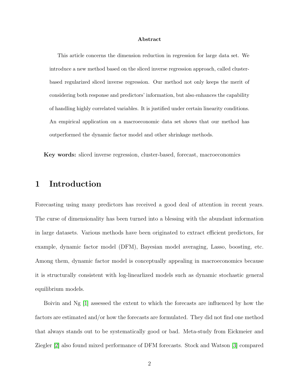#### Abstract

This article concerns the dimension reduction in regression for large data set. We introduce a new method based on the sliced inverse regression approach, called clusterbased regularized sliced inverse regression. Our method not only keeps the merit of considering both response and predictors' information, but also enhances the capability of handling highly correlated variables. It is justified under certain linearity conditions. An empirical application on a macroeconomic data set shows that our method has outperformed the dynamic factor model and other shrinkage methods.

Key words: sliced inverse regression, cluster-based, forecast, macroeconomics

## 1 Introduction

Forecasting using many predictors has received a good deal of attention in recent years. The curse of dimensionality has been turned into a blessing with the abundant information in large datasets. Various methods have been originated to extract efficient predictors, for example, dynamic factor model (DFM), Bayesian model averaging, Lasso, boosting, etc. Among them, dynamic factor model is conceptually appealing in macroeconomics because it is structurally consistent with log-linearlized models such as dynamic stochastic general equilibrium models.

Boivin and Ng [\[1\]](#page-22-0) assessed the extent to which the forecasts are influenced by how the factors are estimated and/or how the forecasts are formulated. They did not find one method that always stands out to be systematically good or bad. Meta-study from Eickmeier and Ziegler [\[2\]](#page-22-1) also found mixed performance of DFM forecasts. Stock and Watson [\[3\]](#page-22-2) compared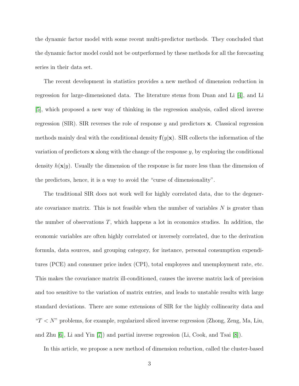the dynamic factor model with some recent multi-predictor methods. They concluded that the dynamic factor model could not be outperformed by these methods for all the forecasting series in their data set.

The recent development in statistics provides a new method of dimension reduction in regression for large-dimensioned data. The literature stems from Duan and Li [\[4\]](#page-23-0), and Li [\[5\]](#page-23-1), which proposed a new way of thinking in the regression analysis, called sliced inverse regression (SIR). SIR reverses the role of response  $y$  and predictors  $x$ . Classical regression methods mainly deal with the conditional density  $f(y|x)$ . SIR collects the information of the variation of predictors  $x$  along with the change of the response  $y$ , by exploring the conditional density  $h(\mathbf{x}|y)$ . Usually the dimension of the response is far more less than the dimension of the predictors, hence, it is a way to avoid the "curse of dimensionality".

The traditional SIR does not work well for highly correlated data, due to the degenerate covariance matrix. This is not feasible when the number of variables  $N$  is greater than the number of observations  $T$ , which happens a lot in economics studies. In addition, the economic variables are often highly correlated or inversely correlated, due to the derivation formula, data sources, and grouping category, for instance, personal consumption expenditures (PCE) and consumer price index (CPI), total employees and unemployment rate, etc. This makes the covariance matrix ill-conditioned, causes the inverse matrix lack of precision and too sensitive to the variation of matrix entries, and leads to unstable results with large standard deviations. There are some extensions of SIR for the highly collinearity data and " $T < N$ " problems, for example, regularized sliced inverse regression (Zhong, Zeng, Ma, Liu, and Zhu [\[6\]](#page-23-2), Li and Yin [\[7\]](#page-23-3)) and partial inverse regression (Li, Cook, and Tsai [\[8\]](#page-23-4)).

In this article, we propose a new method of dimension reduction, called the cluster-based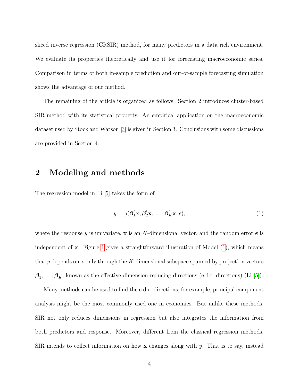sliced inverse regression (CRSIR) method, for many predictors in a data rich environment. We evaluate its properties theoretically and use it for forecasting macroeconomic series. Comparison in terms of both in-sample prediction and out-of-sample forecasting simulation shows the advantage of our method.

The remaining of the article is organized as follows. Section 2 introduces cluster-based SIR method with its statistical property. An empirical application on the macroeconomic dataset used by Stock and Watson [\[3\]](#page-22-2) is given in Section 3. Conclusions with some discussions are provided in Section 4.

## 2 Modeling and methods

The regression model in Li [\[5\]](#page-23-1) takes the form of

<span id="page-3-0"></span>
$$
y = g(\beta'_1 \mathbf{x}, \beta'_2 \mathbf{x}, \dots, \beta'_K \mathbf{x}, \epsilon),
$$
\n(1)

where the response y is univariate, x is an N-dimensional vector, and the random error  $\epsilon$  is independent of  $x$ . Figure [1](#page-4-0) gives a straightforward illustration of Model  $(1)$ , which means that y depends on  $x$  only through the K-dimensional subspace spanned by projection vectors  $\beta_1, \ldots, \beta_K$ , known as the effective dimension reducing directions (e.d.r.-directions) (Li [\[5\]](#page-23-1)).

Many methods can be used to find the e.d.r.-directions, for example, principal component analysis might be the most commonly used one in economics. But unlike these methods, SIR not only reduces dimensions in regression but also integrates the information from both predictors and response. Moreover, different from the classical regression methods, SIR intends to collect information on how  $\bf{x}$  changes along with y. That is to say, instead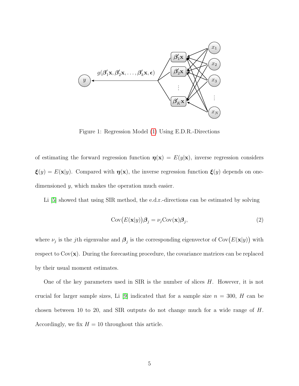<span id="page-4-0"></span>

Figure 1: Regression Model [\(1\)](#page-3-0) Using E.D.R.-Directions

of estimating the forward regression function  $\eta(\mathbf{x}) = E(y|\mathbf{x})$ , inverse regression considers  $\boldsymbol{\xi}(y) = E(\mathbf{x}|y)$ . Compared with  $\boldsymbol{\eta}(\mathbf{x})$ , the inverse regression function  $\boldsymbol{\xi}(y)$  depends on onedimensioned y, which makes the operation much easier.

Li [\[5\]](#page-23-1) showed that using SIR method, the e.d.r.-directions can be estimated by solving

$$
Cov(E(\mathbf{x}|y))\boldsymbol{\beta}_j = \nu_j Cov(\mathbf{x})\boldsymbol{\beta}_j,
$$
\n(2)

where  $\nu_j$  is the jth eigenvalue and  $\boldsymbol{\beta}_j$  is the corresponding eigenvector of Cov $(E(\mathbf{x}|y))$  with respect to  $Cov(\mathbf{x})$ . During the forecasting procedure, the covariance matrices can be replaced by their usual moment estimates.

One of the key parameters used in SIR is the number of slices  $H$ . However, it is not crucial for larger sample sizes, Li [\[9\]](#page-23-5) indicated that for a sample size  $n = 300$ , H can be chosen between 10 to 20, and SIR outputs do not change much for a wide range of H. Accordingly, we fix  $H = 10$  throughout this article.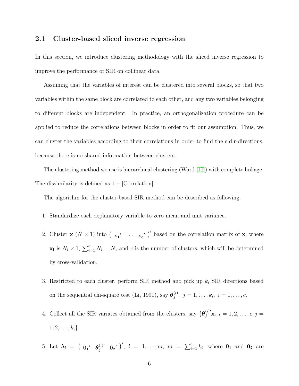#### 2.1 Cluster-based sliced inverse regression

In this section, we introduce clustering methodology with the sliced inverse regression to improve the performance of SIR on collinear data.

Assuming that the variables of interest can be clustered into several blocks, so that two variables within the same block are correlated to each other, and any two variables belonging to different blocks are independent. In practice, an orthogonalization procedure can be applied to reduce the correlations between blocks in order to fit our assumption. Thus, we can cluster the variables according to their correlations in order to find the e.d.r-directions, because there is no shared information between clusters.

The clustering method we use is hierarchical clustering (Ward [\[10\]](#page-23-6)) with complete linkage. The dissimilarity is defined as  $1 - |Correlation|$ .

The algorithm for the cluster-based SIR method can be described as following.

- 1. Standardize each explanatory variable to zero mean and unit variance.
- 2. Cluster **x**  $(N \times 1)$  into  $(\mathbf{x_1}' \dots \mathbf{x_c}')'$  based on the correlation matrix of **x**, where  $\mathbf{x_i}$  is  $N_i \times 1$ ,  $\sum_{i=1}^{c} N_i = N$ , and c is the number of clusters, which will be determined by cross-validation.
- 3. Restricted to each cluster, perform SIR method and pick up  $k_i$  SIR directions based on the sequential chi-square test (Li, 1991), say  $\boldsymbol{\theta}_i^{(i)}$  $j^{(i)}$ ,  $j = 1, \ldots, k_i, i = 1, \ldots, c$ .
- 4. Collect all the SIR variates obtained from the clusters, say  $\{\boldsymbol{\theta}_j^{(i)}\mathbf{x}_i, i = 1, 2, \ldots, c, j =$  $1, 2, \ldots, k_i\}.$
- 5. Let  $\lambda_l = (0_1' \theta_j^{(i)'} 0_2')', l = 1, ..., m, m = \sum_{i=1}^c k_i$ , where  $0_1$  and  $0_2$  are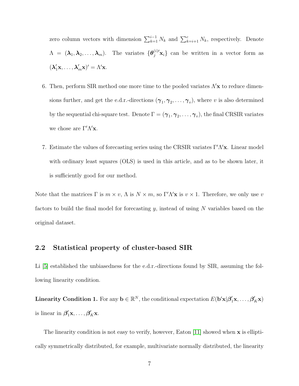zero column vectors with dimension  $\sum_{k=1}^{i-1} N_k$  and  $\sum_{k=i+1}^{c} N_k$ , respectively. Denote  $\Lambda = (\lambda_1, \lambda_2, \ldots, \lambda_m)$ . The variates  $\{\theta_j^{(i)}\mathbf{x}_i\}$  can be written in a vector form as  $(\lambda'_1\mathbf{x}, \dots, \lambda'_m\mathbf{x})' = \Lambda'\mathbf{x}.$ 

- 6. Then, perform SIR method one more time to the pooled variates  $\Lambda'$ x to reduce dimensions further, and get the e.d.r.-directions  $(\gamma_1, \gamma_2, \ldots, \gamma_v)$ , where v is also determined by the sequential chi-square test. Denote  $\Gamma=(\bm{\gamma}_1,\bm{\gamma}_2,\ldots,\bm{\gamma}_v),$  the final CRSIR variates we chose are  $\Gamma'\Lambda' \mathbf{x}$ .
- 7. Estimate the values of forecasting series using the CRSIR variates  $\Gamma'\Lambda'$ x. Linear model with ordinary least squares (OLS) is used in this article, and as to be shown later, it is sufficiently good for our method.

Note that the matrices  $\Gamma$  is  $m \times v$ ,  $\Lambda$  is  $N \times m$ , so  $\Gamma' \Lambda' \mathbf{x}$  is  $v \times 1$ . Therefore, we only use v factors to build the final model for forecasting  $y$ , instead of using  $N$  variables based on the original dataset.

#### 2.2 Statistical property of cluster-based SIR

Li [\[5\]](#page-23-1) established the unbiasedness for the e.d.r.-directions found by SIR, assuming the following linearity condition.

<span id="page-6-0"></span>Linearity Condition 1. For any  $\mathbf{b} \in \mathbb{R}^N$ , the conditional expectation  $E(\mathbf{b}'\mathbf{x}|\boldsymbol{\beta}'_1\mathbf{x},\ldots,\boldsymbol{\beta}'_K\mathbf{x})$ is linear in  $\beta'_1 \mathbf{x}, \ldots, \beta'_K \mathbf{x}$ .

The linearity condition is not easy to verify, however, Eaton  $[11]$  showed when  $\mathbf x$  is elliptically symmetrically distributed, for example, multivariate normally distributed, the linearity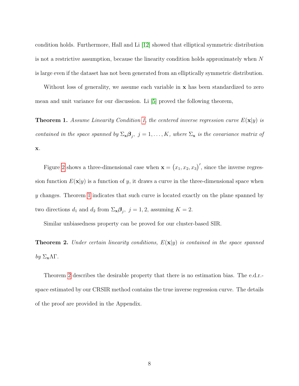condition holds. Furthermore, Hall and Li [\[12\]](#page-23-8) showed that elliptical symmetric distribution is not a restrictive assumption, because the linearity condition holds approximately when N is large even if the dataset has not been generated from an elliptically symmetric distribution.

Without loss of generality, we assume each variable in **x** has been standardized to zero mean and unit variance for our discussion. Li [\[5\]](#page-23-1) proved the following theorem,

<span id="page-7-0"></span>**Theorem 1.** Assume Linearity Condition [1,](#page-6-0) the centered inverse regression curve  $E(\mathbf{x}|y)$  is contained in the space spanned by  $\Sigma_{\mathbf{x}}\mathbf{\beta}_j$ ,  $j=1,\ldots,K$ , where  $\Sigma_{\mathbf{x}}$  is the covariance matrix of x.

Figure [2](#page-8-0) shows a three-dimensional case when  $\mathbf{x} = (x_1, x_2, x_3)'$ , since the inverse regression function  $E(\mathbf{x}|y)$  is a function of y, it draws a curve in the three-dimensional space when y changes. Theorem [1](#page-7-0) indicates that such curve is located exactly on the plane spanned by two directions  $d_1$  and  $d_2$  from  $\Sigma_{\mathbf{x}} \mathbf{\beta}_j$ ,  $j = 1, 2$ , assuming  $K = 2$ .

Similar unbiasedness property can be proved for our cluster-based SIR.

<span id="page-7-1"></span>**Theorem 2.** Under certain linearity conditions,  $E(\mathbf{x}|y)$  is contained in the space spanned by  $\Sigma_{\mathbf{x}}\Lambda\Gamma$ .

Theorem [2](#page-7-1) describes the desirable property that there is no estimation bias. The e.d.r. space estimated by our CRSIR method contains the true inverse regression curve. The details of the proof are provided in the Appendix.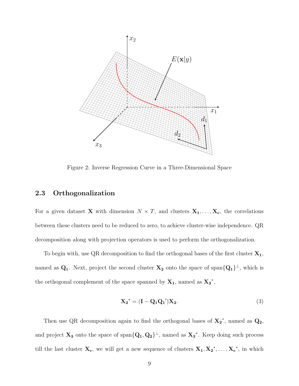<span id="page-8-0"></span>

Figure 2: Inverse Regression Curve in a Three-Dimensional Space

#### 2.3 Orthogonalization

For a given dataset **X** with dimension  $N \times T$ , and clusters  $X_1, \ldots, X_c$ , the correlations between these clusters need to be reduced to zero, to achieve cluster-wise independence. QR decomposition along with projection operators is used to perform the orthogonalization.

To begin with, use QR decomposition to find the orthogonal bases of the first cluster  $X_1$ , named as  $Q_1$ . Next, project the second cluster  $X_2$  onto the space of span $\{Q_1\}^{\perp}$ , which is the orthogonal complement of the space spanned by  $X_1$ , named as  $X_2^*$ ,

$$
X_2^* = (I - Q_1 Q_1') X_2.
$$
 (3)

Then use QR decomposition again to find the orthogonal bases of  $X_2^*$ , named as  $Q_2$ , and project  $X_3$  onto the space of span ${Q_1, Q_2}^{\perp}$ , named as  $X_3^*$ . Keep doing such process till the last cluster  $\mathbf{X_c}$ , we will get a new sequence of clusters  $\mathbf{X_1}, \mathbf{X_2}^*, \ldots, \mathbf{X_c}^*$ , in which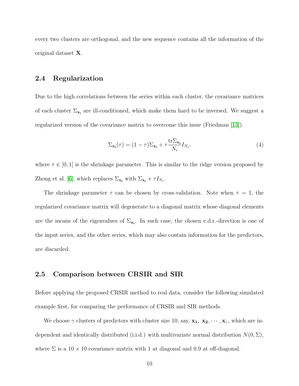every two clusters are orthogonal, and the new sequence contains all the information of the original dataset X.

### 2.4 Regularization

Due to the high correlations between the series within each cluster, the covariance matrices of each cluster  $\Sigma_{\mathbf{x}_i}$  are ill-conditioned, which make them hard to be inversed. We suggest a regularized version of the covariance matrix to overcome this issue (Friedman [\[13\]](#page-23-9)).

$$
\Sigma_{\mathbf{x_i}}(\tau) = (1 - \tau)\Sigma_{\mathbf{x_i}} + \tau \frac{\text{tr}\Sigma_{\mathbf{x_i}}}{N_i} I_{N_i},\tag{4}
$$

where  $\tau \in [0,1]$  is the shrinkage parameter. This is similar to the ridge version proposed by Zhong et al. [\[6\]](#page-23-2), which replaces  $\Sigma_{\mathbf{x_i}}$  with  $\Sigma_{\mathbf{x_i}} + \tau I_{N_i}$ .

The shrinkage parameter  $\tau$  can be chosen by cross-validation. Note when  $\tau = 1$ , the regularized covariance matrix will degenerate to a diagonal matrix whose diagonal elements are the means of the eigenvalues of  $\Sigma_{\mathbf{x_i}}$ . In such case, the chosen e.d.r.-direction is one of the input series, and the other series, which may also contain information for the predictors, are discarded.

#### 2.5 Comparison between CRSIR and SIR

Before applying the proposed CRSIR method to real data, consider the following simulated example first, for comparing the performance of CRSIR and SIR methods.

We choose  $\gamma$  clusters of predictors with cluster size 10, say,  $x_1, x_2, \dots, x_{\gamma}$ , which are independent and identically distributed (i.i.d.) with multivariate normal distribution  $N(0, \Sigma)$ , where  $\Sigma$  is a  $10 \times 10$  covariance matrix with 1 at diagonal and 0.9 at off-diagonal.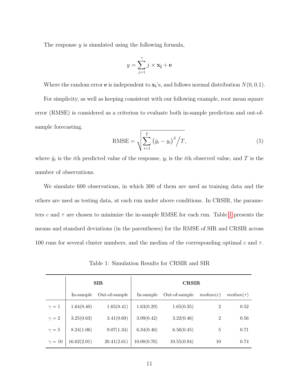The response  $y$  is simulated using the following formula,

$$
y = \sum_{j=1}^{\gamma} j \times \mathbf{x_j} + \mathbf{e}
$$

Where the random error **e** is independent to  $\mathbf{x_i}$ 's, and follows normal distribution  $N(0, 0.1)$ .

For simplicity, as well as keeping consistent with our following example, root mean square error (RMSE) is considered as a criterion to evaluate both in-sample prediction and out-ofsample forecasting.

$$
RMSE = \sqrt{\sum_{i=1}^{T} (\hat{y}_i - y_i)^2 / T},
$$
\n(5)

where  $\hat{y}_i$  is the *i*th predicted value of the response,  $y_i$  is the *i*th observed value, and T is the number of observations.

We simulate 600 observations, in which 300 of them are used as training data and the others are used as testing data, at each run under above conditions. In CRSIR, the parameters c and  $\tau$  are chosen to minimize the in-sample RMSE for each run. Table [1](#page-10-0) presents the means and standard deviations (in the parentheses) for the RMSE of SIR and CRSIR across 100 runs for several cluster numbers, and the median of the corresponding optimal c and  $\tau$ .

Table 1: Simulation Results for CRSIR and SIR

<span id="page-10-0"></span>

|               |             | <b>SIR</b>    | <b>CRSIR</b> |               |                |                |  |  |
|---------------|-------------|---------------|--------------|---------------|----------------|----------------|--|--|
|               | In-sample   | Out-of-sample | In-sample    | Out-of-sample | median(c)      | $median(\tau)$ |  |  |
| $\gamma=1$    | 1.64(0.40)  | 1.65(0.41)    | 1.63(0.29)   | 1.65(0.35)    | $\overline{2}$ | 0.52           |  |  |
| $\gamma=2$    | 3.25(0.63)  | 3.41(0.69)    | 3.09(0.42)   | 3.22(0.46)    | $\overline{2}$ | $0.56\,$       |  |  |
| $\gamma=5$    | 8.24(1.06)  | 9.07(1.34)    | 6.34(0.46)   | 6.56(0.45)    | 5              | 0.71           |  |  |
| $\gamma = 10$ | 16.62(2.01) | 20.41(2.61)   | 10.08(0.76)  | 10.55(0.94)   | 10             | 0.74           |  |  |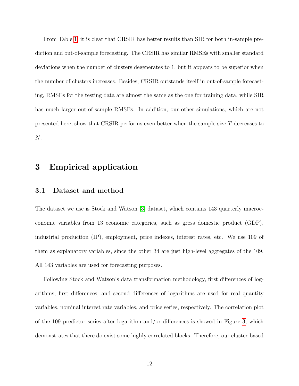From Table [1,](#page-10-0) it is clear that CRSIR has better results than SIR for both in-sample prediction and out-of-sample forecasting. The CRSIR has similar RMSEs with smaller standard deviations when the number of clusters degenerates to 1, but it appears to be superior when the number of clusters increases. Besides, CRSIR outstands itself in out-of-sample forecasting, RMSEs for the testing data are almost the same as the one for training data, while SIR has much larger out-of-sample RMSEs. In addition, our other simulations, which are not presented here, show that CRSIR performs even better when the sample size T decreases to N.

## 3 Empirical application

#### 3.1 Dataset and method

The dataset we use is Stock and Watson [\[3\]](#page-22-2) dataset, which contains 143 quarterly macroeconomic variables from 13 economic categories, such as gross domestic product (GDP), industrial production (IP), employment, price indexes, interest rates, etc. We use 109 of them as explanatory variables, since the other 34 are just high-level aggregates of the 109. All 143 variables are used for forecasting purposes.

Following Stock and Watson's data transformation methodology, first differences of logarithms, first differences, and second differences of logarithms are used for real quantity variables, nominal interest rate variables, and price series, respectively. The correlation plot of the 109 predictor series after logarithm and/or differences is showed in Figure [3,](#page-13-0) which demonstrates that there do exist some highly correlated blocks. Therefore, our cluster-based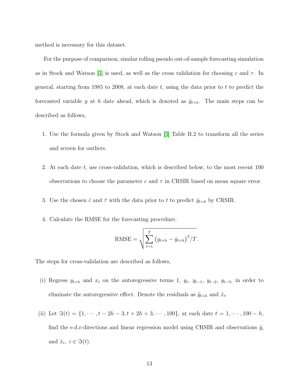method is necessary for this dataset.

For the purpose of comparison, similar rolling pseudo out-of-sample forecasting simulation as in Stock and Watson [\[3\]](#page-22-2) is used, as well as the cross validation for choosing c and  $\tau$ . In general, starting from 1985 to 2008, at each date  $t$ , using the data prior to  $t$  to predict the forecasted variable y at h date ahead, which is denoted as  $\hat{y}_{t+h}$ . The main steps can be described as follows,

- 1. Use the formula given by Stock and Watson [\[3\]](#page-22-2) Table B.2 to transform all the series and screen for outliers.
- 2. At each date t, use cross-validation, which is described below, to the most recent 100 observations to choose the parameter c and  $\tau$  in CRSIR based on mean square error.
- 3. Use the chosen  $\hat{c}$  and  $\hat{\tau}$  with the data prior to t to predict  $\hat{y}_{t+h}$  by CRSIR.
- 4. Calculate the RMSE for the forecasting procedure,

RMSE = 
$$
\sqrt{\sum_{t=1}^{T} (y_{t+h} - \hat{y}_{t+h})^2 / T}.
$$

The steps for cross-validation are described as follows,

- (i) Regress  $y_{t+h}$  and  $x_t$  on the autoregressive terms 1,  $y_t$ ,  $y_{t-1}$ ,  $y_{t-2}$ ,  $y_{t-3}$ , in order to eliminate the autoregressive effect. Denote the residuals as  $\tilde{y}_{t+h}$  and  $\tilde{x}_t$ .
- (ii) Let  $\Im(t) = \{1, \dots, t 2h 3, t + 2h + 3, \dots, 100\}$ , at each date  $t = 1, \dots, 100 h$ , find the e.d.r-directions and linear regression model using CRSIR and observations  $\tilde{y}_i$ and  $\tilde{x}_i, i \in \Im(t)$ .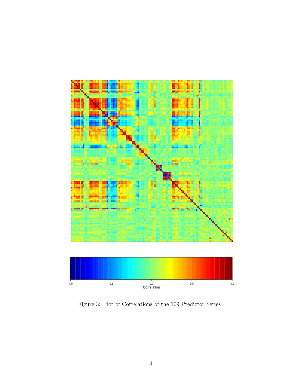<span id="page-13-0"></span>

Figure 3: Plot of Correlations of the 109 Predictor Series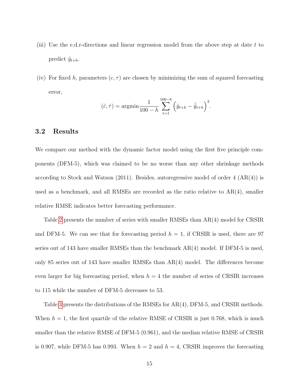- (iii) Use the e.d.r-directions and linear regression model from the above step at date  $t$  to predict  $\tilde{y}_{t+h}$ .
- (iv) For fixed h, parameters  $(c, \tau)$  are chosen by minimizing the sum of squared forecasting error,

$$
(\hat{c}, \hat{\tau}) = \operatorname{argmin} \frac{1}{100 - h} \sum_{t=1}^{100 - h} \left( \tilde{y}_{t+h} - \hat{\tilde{y}}_{t+h} \right)^2.
$$

#### 3.2 Results

We compare our method with the dynamic factor model using the first five principle components (DFM-5), which was claimed to be no worse than any other shrinkage methods according to Stock and Watson (2011). Besides, autoregressive model of order 4 (AR(4)) is used as a benchmark, and all RMSEs are recorded as the ratio relative to AR(4), smaller relative RMSE indicates better forecasting performance.

Table [2](#page-15-0) presents the number of series with smaller RMSEs than AR(4) model for CRSIR and DFM-5. We can see that for forecasting period  $h = 1$ , if CRSIR is used, there are 97 series out of 143 have smaller RMSEs than the benchmark AR(4) model. If DFM-5 is used, only 85 series out of 143 have smaller RMSEs than AR(4) model. The differences become even larger for big forecasting period, when  $h = 4$  the number of series of CRSIR increases to 115 while the number of DFM-5 decreases to 53.

Table [3](#page-16-0) presents the distributions of the RMSEs for AR(4), DFM-5, and CRSIR methods. When  $h = 1$ , the first quartile of the relative RMSE of CRSIR is just 0.768, which is much smaller than the relative RMSE of DFM-5 (0.961), and the median relative RMSE of CRSIR is 0.907, while DFM-5 has 0.993. When  $h = 2$  and  $h = 4$ , CRSIR improves the forecasting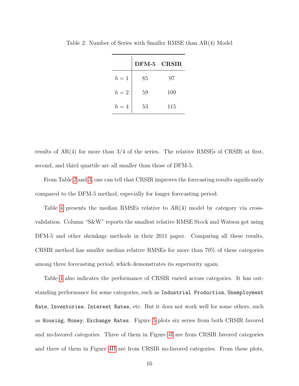|                  | DFM-5 CRSIR |     |
|------------------|-------------|-----|
| $h=1$            | 85          | 97  |
| $\mathfrak{h}=2$ | 59          | 109 |
| $h=4$            | 53          | 115 |

<span id="page-15-0"></span>Table 2: Number of Series with Smaller RMSE than AR(4) Model

results of  $AR(4)$  for more than 3/4 of the series. The relative RMSEs of CRSIR at first, second, and third quartile are all smaller than those of DFM-5.

From Table [2](#page-15-0) and [3,](#page-16-0) one can tell that CRSIR improves the forecasting results significantly compared to the DFM-5 method, especially for longer forecasting period.

Table [4](#page-17-0) presents the median RMSEs relative to AR(4) model by category via crossvalidation. Column "S&W" reports the smallest relative RMSE Stock and Watson got using DFM-5 and other shrinkage methods in their 2011 paper. Comparing all these results, CRSIR method has smaller median relative RMSEs for more than 70% of these categories among three forecasting period, which demonstrates its superiority again.

Table [4](#page-17-0) also indicates the performance of CRSIR varied across categories. It has outstanding performance for some categories, such as Industrial Production, Unemployment Rate, Inventories, Interest Rates, etc. But it does not work well for some others, such as Housing, Money, Exchange Rates. Figure [5](#page-20-0) plots six series from both CRSIR favored and no-favored categories. Three of them in Figure [4I](#page-18-0) are from CRSIR favored categories and three of them in Figure [4II](#page-18-1) are from CRSIR no-favored categories. From these plots,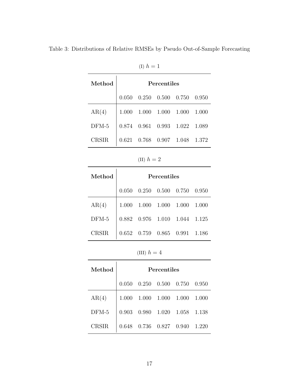<span id="page-16-0"></span>

| Method       | Percentiles |                         |                 |       |       |  |  |
|--------------|-------------|-------------------------|-----------------|-------|-------|--|--|
|              | 0.050       | 0.250                   | $0.500$ $0.750$ |       | 0.950 |  |  |
| AR(4)        | 1.000       | 1.000                   | 1.000           | 1.000 | 1.000 |  |  |
| $DFM-5$      | 0.874       | 0.961                   | 0.993           | 1.022 | 1.089 |  |  |
| <b>CRSIR</b> |             | 0.621 0.768 0.907 1.048 |                 |       | 1.372 |  |  |

(I)  $h = 1$ 

(II)  $h=2\,$ 

| Method  | Percentiles |                                          |             |       |       |  |  |  |
|---------|-------------|------------------------------------------|-------------|-------|-------|--|--|--|
|         | 0.050       | 0.250                                    | 0.500 0.750 |       | 0.950 |  |  |  |
| AR(4)   | 1.000       | 1.000                                    | 1.000       | 1.000 | 1.000 |  |  |  |
| $DFM-5$ | 0.882       | 0.976                                    | 1.010       | 1.044 | 1.125 |  |  |  |
| CRSIR   |             | $0.652\quad 0.759\quad 0.865\quad 0.991$ |             |       | 1.186 |  |  |  |

(III)  $h=4\,$ 

| Method  |       |       | Percentiles     |       |       |
|---------|-------|-------|-----------------|-------|-------|
|         | 0.050 | 0.250 | $0.500$ $0.750$ |       | 0.950 |
| AR(4)   | 1.000 | 1.000 | 1.000           | 1.000 | 1.000 |
| $DFM-5$ | 0.903 | 0.980 | 1.020           | 1.058 | 1.138 |
| CRSIR   | 0.648 | 0.736 | 0.827 0.940     |       | 1.220 |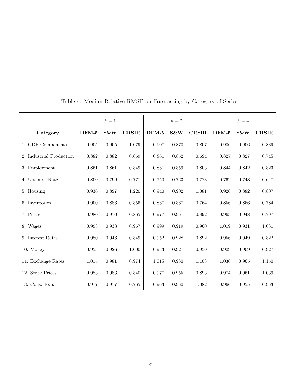|                          |         | $h=1$ |              |         | $h=2$ |              |         | $h=4$ |              |
|--------------------------|---------|-------|--------------|---------|-------|--------------|---------|-------|--------------|
| Category                 | $DFM-5$ | S&W   | <b>CRSIR</b> | $DFM-5$ | S&W   | <b>CRSIR</b> | $DFM-5$ | S&W   | <b>CRSIR</b> |
| 1. GDP Components        | 0.905   | 0.905 | 1.079        | 0.907   | 0.870 | 0.807        | 0.906   | 0.906 | 0.839        |
| 2. Industrial Production | 0.882   | 0.882 | 0.669        | 0.861   | 0.852 | 0.694        | 0.827   | 0.827 | 0.745        |
| 3. Employment            | 0.861   | 0.861 | 0.849        | 0.861   | 0.859 | 0.803        | 0.844   | 0.842 | 0.823        |
| 4. Unempl. Rate          | 0.800   | 0.799 | 0.771        | 0.750   | 0.723 | 0.723        | 0.762   | 0.743 | 0.647        |
| 5. Housing               | 0.936   | 0.897 | 1.220        | 0.940   | 0.902 | 1.081        | 0.926   | 0.882 | 0.807        |
| 6. Inventories           | 0.900   | 0.886 | 0.856        | 0.867   | 0.867 | 0.764        | 0.856   | 0.856 | 0.784        |
| 7. Prices                | 0.980   | 0.970 | 0.865        | 0.977   | 0.961 | 0.892        | 0.963   | 0.948 | 0.797        |
| 8. Wages                 | 0.993   | 0.938 | 0.967        | 0.999   | 0.919 | 0.960        | 1.019   | 0.931 | $1.031\,$    |
| 9. Interest Rates        | 0.980   | 0.946 | 0.849        | 0.952   | 0.928 | 0.892        | 0.956   | 0.949 | 0.822        |
| 10. Money                | 0.953   | 0.926 | $1.000\,$    | 0.933   | 0.921 | 0.950        | 0.909   | 0.909 | 0.927        |
| 11. Exchange Rates       | 1.015   | 0.981 | 0.974        | 1.015   | 0.980 | 1.108        | 1.036   | 0.965 | 1.150        |
| 12. Stock Prices         | 0.983   | 0.983 | 0.840        | 0.977   | 0.955 | 0.893        | 0.974   | 0.961 | 1.039        |
| 13. Cons. Exp.           | 0.977   | 0.977 | 0.765        | 0.963   | 0.960 | 1.082        | 0.966   | 0.955 | 0.963        |

<span id="page-17-0"></span>Table 4: Median Relative RMSE for Forecasting by Category of Series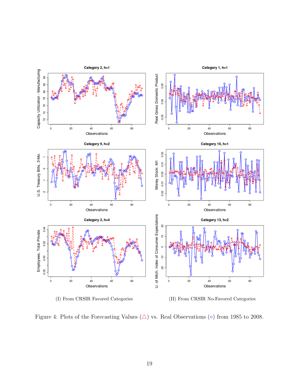<span id="page-18-0"></span>

<span id="page-18-1"></span>Figure 4: Plots of the Forecasting Values  $(\triangle)$  vs. Real Observations ( $\circ$ ) from 1985 to 2008.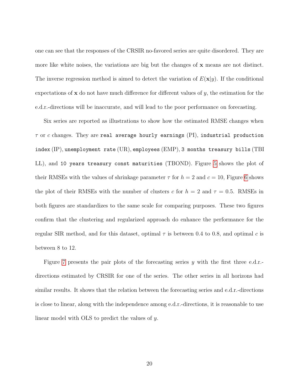one can see that the responses of the CRSIR no-favored series are quite disordered. They are more like white noises, the variations are big but the changes of x means are not distinct. The inverse regression method is aimed to detect the variation of  $E(\mathbf{x}|y)$ . If the conditional expectations of  $x$  do not have much difference for different values of  $y$ , the estimation for the e.d.r.-directions will be inaccurate, and will lead to the poor performance on forecasting.

Six series are reported as illustrations to show how the estimated RMSE changes when  $\tau$  or c changes. They are real average hourly earnings (PI), industrial production index (IP), unemployment rate (UR), employees (EMP), 3 months treasury bills (TBI LL), and 10 years treasury const maturities (TBOND). Figure [5](#page-20-0) shows the plot of their RMSEs with the values of shrinkage parameter  $\tau$  for  $h = 2$  and  $c = 10$ , Figure [6](#page-20-0) shows the plot of their RMSEs with the number of clusters c for  $h = 2$  and  $\tau = 0.5$ . RMSEs in both figures are standardizes to the same scale for comparing purposes. These two figures confirm that the clustering and regularized approach do enhance the performance for the regular SIR method, and for this dataset, optimal  $\tau$  is between 0.4 to 0.8, and optimal c is between 8 to 12.

Figure [7](#page-21-0) presents the pair plots of the forecasting series y with the first three e.d.r.directions estimated by CRSIR for one of the series. The other series in all horizons had similar results. It shows that the relation between the forecasting series and e.d.r.-directions is close to linear, along with the independence among e.d.r.-directions, it is reasonable to use linear model with OLS to predict the values of y.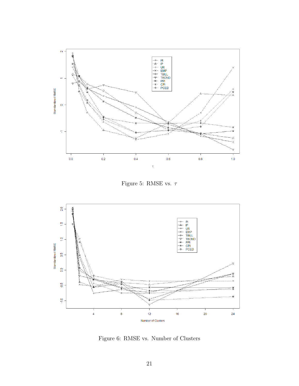<span id="page-20-0"></span>

Figure 5: RMSE vs.  $\tau$ 



Figure 6: RMSE vs. Number of Clusters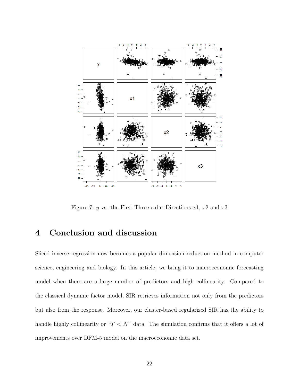<span id="page-21-0"></span>

Figure 7: y vs. the First Three e.d.r.-Directions  $x1, x2$  and  $x3$ 

## 4 Conclusion and discussion

Sliced inverse regression now becomes a popular dimension reduction method in computer science, engineering and biology. In this article, we bring it to macroeconomic forecasting model when there are a large number of predictors and high collinearity. Compared to the classical dynamic factor model, SIR retrieves information not only from the predictors but also from the response. Moreover, our cluster-based regularized SIR has the ability to handle highly collinearity or " $T < N$ " data. The simulation confirms that it offers a lot of improvements over DFM-5 model on the macroeconomic data set.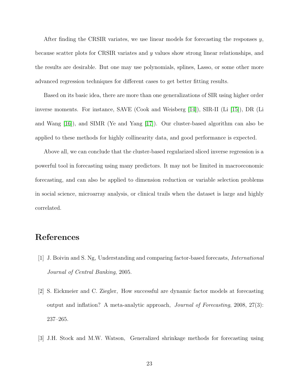After finding the CRSIR variates, we use linear models for forecasting the responses  $y$ , because scatter plots for CRSIR variates and y values show strong linear relationships, and the results are desirable. But one may use polynomials, splines, Lasso, or some other more advanced regression techniques for different cases to get better fitting results.

Based on its basic idea, there are more than one generalizations of SIR using higher order inverse moments. For instance, SAVE (Cook and Weisberg [\[14\]](#page-24-0)), SIR-II (Li [\[15\]](#page-24-1)), DR (Li and Wang [\[16\]](#page-24-2)), and SIMR (Ye and Yang [\[17\]](#page-24-3)). Our cluster-based algorithm can also be applied to these methods for highly collinearity data, and good performance is expected.

Above all, we can conclude that the cluster-based regularized sliced inverse regression is a powerful tool in forecasting using many predictors. It may not be limited in macroeconomic forecasting, and can also be applied to dimension reduction or variable selection problems in social science, microarray analysis, or clinical trails when the dataset is large and highly correlated.

## References

- <span id="page-22-0"></span>[1] J. Boivin and S. Ng, Understanding and comparing factor-based forecasts, International Journal of Central Banking, 2005.
- <span id="page-22-1"></span>[2] S. Eickmeier and C. Ziegler, How successful are dynamic factor models at forecasting output and inflation? A meta-analytic approach, Journal of Forecasting, 2008, 27(3): 237–265.
- <span id="page-22-2"></span>[3] J.H. Stock and M.W. Watson, Generalized shrinkage methods for forecasting using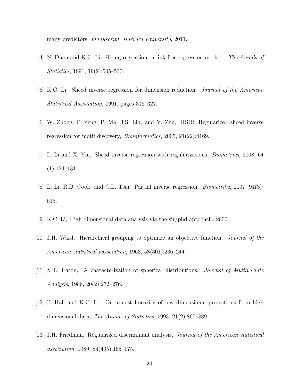many predictors, manuscript, Harvard University, 2011.

- <span id="page-23-0"></span>[4] N. Duan and K.C. Li, Slicing regression: a link-free regression method, The Annals of Statistics, 1991, 19(2):505–530.
- <span id="page-23-1"></span>[5] K.C. Li, Sliced inverse regression for dimension reduction, Journal of the American Statistical Association, 1991, pages 316–327.
- <span id="page-23-2"></span>[6] W. Zhong, P. Zeng, P. Ma, J.S. Liu, and Y. Zhu, RSIR: Regularized sliced inverse regression for motif discovery, *Bioinformatics*, 2005, 21(22):4169.
- <span id="page-23-3"></span>[7] L. Li and X. Yin, Sliced inverse regression with regularizations, Biometrics, 2008, 64 (1):124–131.
- <span id="page-23-4"></span>[8] L. Li, R.D. Cook, and C.L. Tsai, Partial inverse regression, Biometrika, 2007, 94(3): 615.
- <span id="page-23-6"></span><span id="page-23-5"></span>[9] K.C. Li, High dimensional data analysis via the sir/phd approach, 2000.
- [10] J.H. Ward, Hierarchical grouping to optimize an objective function, Journal of the American statistical association, 1963, 58(301):236–244.
- <span id="page-23-7"></span>[11] M.L. Eaton, A characterization of spherical distributions, Journal of Multivariate Analysis, 1986, 20(2):272–276.
- <span id="page-23-8"></span>[12] P. Hall and K.C. Li, On almost linearity of low dimensional projections from high dimensional data, The Annals of Statistics, 1993, 21(2):867–889.
- <span id="page-23-9"></span>[13] J.H. Friedman, Regularized discriminant analysis, Journal of the American statistical association, 1989, 84(405):165–175.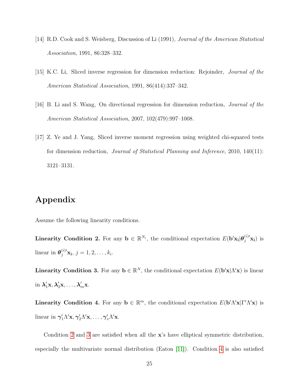- <span id="page-24-0"></span>[14] R.D. Cook and S. Weisberg, Discussion of Li (1991), Journal of the American Statistical Association, 1991, 86:328–332.
- <span id="page-24-1"></span>[15] K.C. Li, Sliced inverse regression for dimension reduction: Rejoinder, Journal of the American Statistical Association, 1991, 86(414):337–342.
- <span id="page-24-2"></span>[16] B. Li and S. Wang, On directional regression for dimension reduction, Journal of the American Statistical Association, 2007, 102(479):997–1008.
- <span id="page-24-3"></span>[17] Z. Ye and J. Yang, Sliced inverse moment regression using weighted chi-squared tests for dimension reduction, *Journal of Statistical Planning and Inference*, 2010, 140(11): 3121–3131.

## Appendix

<span id="page-24-4"></span>Assume the following linearity conditions.

Linearity Condition 2. For any  $\mathbf{b} \in \mathbb{R}^{N_i}$ , the conditional expectation  $E(\mathbf{b}'\mathbf{x_i}|\boldsymbol{\theta}_j^{(i)}'\mathbf{x_i})$  is linear in  $\boldsymbol{\theta}_j^{(i)} \mathbf{x_i}, j = 1, 2, \dots, k_i$ .

<span id="page-24-5"></span>**Linearity Condition 3.** For any  $\mathbf{b} \in \mathbb{R}^N$ , the conditional expectation  $E(\mathbf{b}'\mathbf{x}|\Lambda'\mathbf{x})$  is linear in  $\lambda'_1$ x,  $\lambda'_2$ x, ...,  $\lambda'_m$ x.

<span id="page-24-6"></span>Linearity Condition 4. For any  $\mathbf{b} \in \mathbb{R}^m$ , the conditional expectation  $E(\mathbf{b}' \Lambda' \mathbf{x} | \Gamma' \Lambda' \mathbf{x})$  is linear in  $\gamma'_1 \Lambda' \mathbf{x}, \gamma'_2 \Lambda' \mathbf{x}, \ldots, \gamma'_v \Lambda' \mathbf{x}$ .

Condition [2](#page-24-4) and [3](#page-24-5) are satisfied when all the  $x$ 's have elliptical symmetric distribution, especially the multivariate normal distribution (Eaton [\[11\]](#page-23-7)). Condition [4](#page-24-6) is also satisfied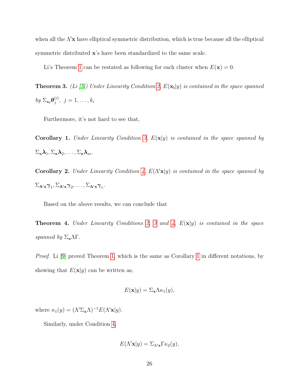when all the  $\Lambda'$ x have elliptical symmetric distribution, which is true because all the elliptical symmetric distributed x's have been standardized to the same scale.

Li's Theorem [1](#page-7-0) can be restated as following for each cluster when  $E(\mathbf{x}) = 0$ .

**Theorem 3.** (Li [\[5\]](#page-23-1)) Under Linearity Condition [2,](#page-24-4)  $E(\mathbf{x_i}|y)$  is contained in the space spanned by  $\Sigma_{\mathbf{x_i}}\boldsymbol{\theta}_j^{(i)}$  $j^{(i)}, \; j = 1, \ldots, k_i$ 

Furthermore, it's not hard to see that,

<span id="page-25-0"></span>**Corollary 1.** Under Linearity Condition [3,](#page-24-5)  $E(\mathbf{x}|y)$  is contained in the space spanned by  $\Sigma_{\mathbf{x}}\lambda_1, \Sigma_{\mathbf{x}}\lambda_2, \ldots, \Sigma_{\mathbf{x}}\lambda_m$ .

Corollary 2. Under Linearity Condition [4,](#page-24-6)  $E(\Lambda' \mathbf{x}|y)$  is contained in the space spanned by  $\Sigma_{\mathbf{\Lambda}':\mathbf{x}}\pmb{\gamma}_1, \Sigma_{\mathbf{\Lambda}'\mathbf{x}}\pmb{\gamma}_2, \ldots, \Sigma_{\mathbf{\Lambda}'\mathbf{x}}\pmb{\gamma}_v.$ 

Based on the above results, we can conclude that

**Theorem 4.** Under Linearity Conditions [2,](#page-24-4) [3](#page-24-5) and [4,](#page-24-6)  $E(x|y)$  is contained in the space spanned by  $\Sigma_{\mathbf{x}}\Lambda\Gamma$ .

Proof. Li [\[9\]](#page-23-5) proved Theorem [1,](#page-7-0) which is the same as Corollary [1](#page-25-0) in different notations, by showing that  $E(\mathbf{x}|y)$  can be written as,

$$
E(\mathbf{x}|y) = \Sigma_{\mathbf{x}} \Lambda \kappa_1(y),
$$

where  $\kappa_1(y) = (\Lambda' \Sigma_{\mathbf{x}} \Lambda)^{-1} E(\Lambda' \mathbf{x}|y).$ 

Similarly, under Condition [4,](#page-24-6)

$$
E(\Lambda' \mathbf{x}|y) = \Sigma_{\Lambda' \mathbf{x}} \Gamma \kappa_2(y),
$$